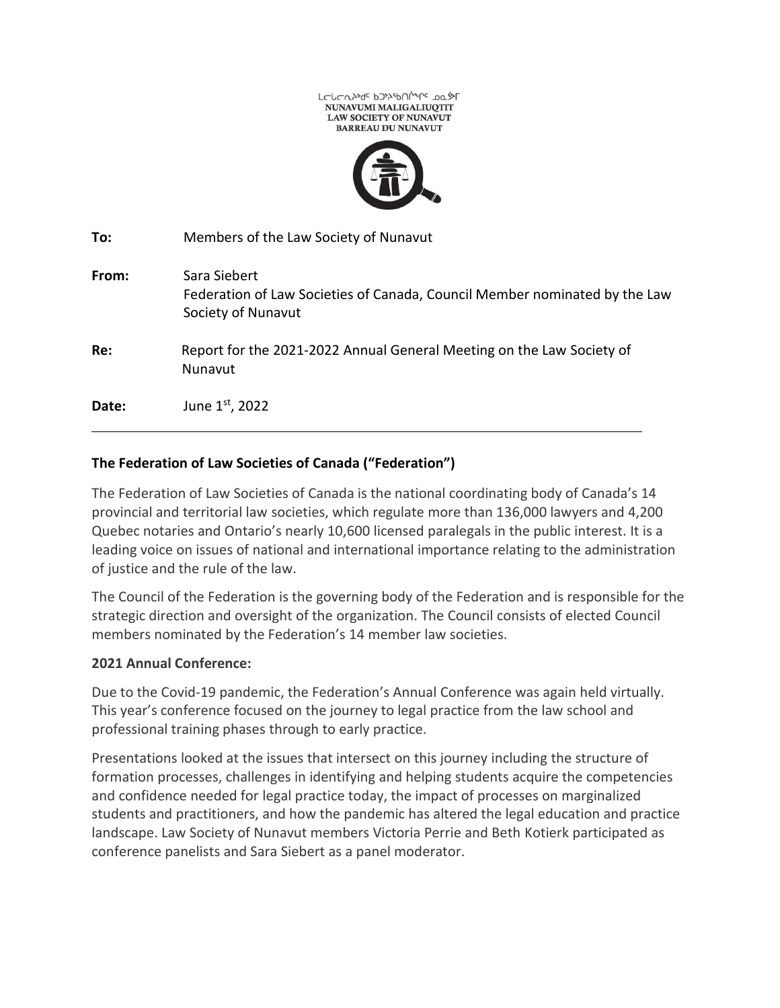

**LCPCU<sub>7P9</sub>c PJ<sub>\*</sub>>PUL+** ספטר

| To:   | Members of the Law Society of Nunavut                                                                            |
|-------|------------------------------------------------------------------------------------------------------------------|
| From: | Sara Siebert<br>Federation of Law Societies of Canada, Council Member nominated by the Law<br>Society of Nunavut |
| Re:   | Report for the 2021-2022 Annual General Meeting on the Law Society of<br>Nunavut                                 |
| Date: | June 1st, 2022                                                                                                   |

# **The Federation of Law Societies of Canada ("Federation")**

The Federation of Law Societies of Canada is the national coordinating body of Canada's 14 provincial and territorial law societies, which regulate more than 136,000 lawyers and 4,200 Quebec notaries and Ontario's nearly 10,600 licensed paralegals in the public interest. It is a leading voice on issues of national and international importance relating to the administration of justice and the rule of the law.

The Council of the Federation is the governing body of the Federation and is responsible for the strategic direction and oversight of the organization. The Council consists of elected Council members nominated by the Federation's 14 member law societies.

# **2021 Annual Conference:**

Due to the Covid-19 pandemic, the Federation's Annual Conference was again held virtually. This year's conference focused on the journey to legal practice from the law school and professional training phases through to early practice.

Presentations looked at the issues that intersect on this journey including the structure of formation processes, challenges in identifying and helping students acquire the competencies and confidence needed for legal practice today, the impact of processes on marginalized students and practitioners, and how the pandemic has altered the legal education and practice landscape. Law Society of Nunavut members Victoria Perrie and Beth Kotierk participated as conference panelists and Sara Siebert as a panel moderator.